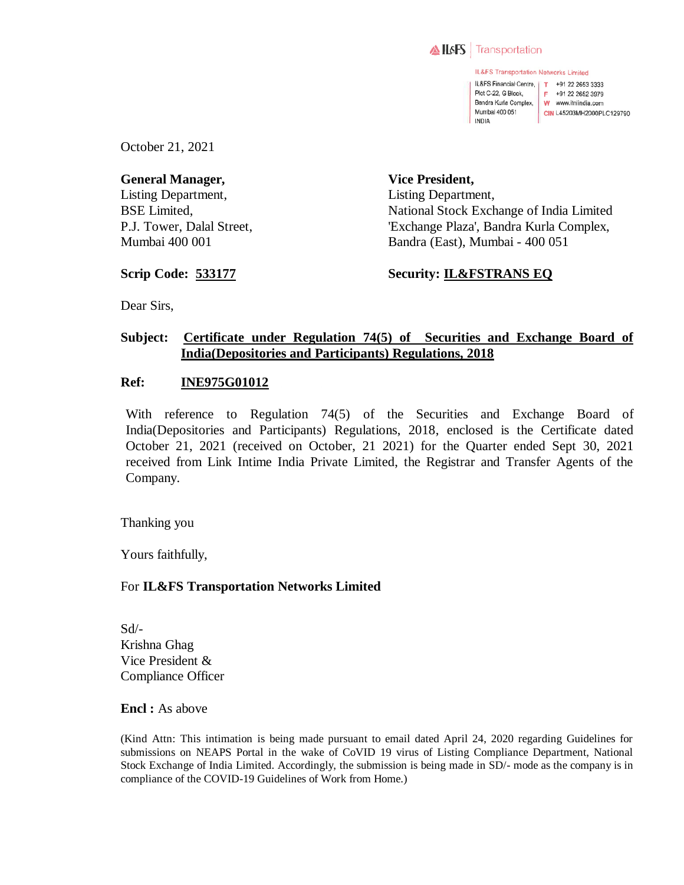

IL&FS Transportation Networks Limited IL&FS Financial Centre, | T +91 22 2653 3333 Plot C-22, G Block. F +91 22 2652 3979 Bandra Kurla Complex, W www.itnlindia.com Mumbai 400 051 CIN L45203MH2000PLC129790 INDIA

October 21, 2021

**General Manager,**  Listing Department, BSE Limited, P.J. Tower, Dalal Street, Mumbai 400 001

**Vice President,**  Listing Department, National Stock Exchange of India Limited 'Exchange Plaza', Bandra Kurla Complex, Bandra (East), Mumbai - 400 051

**Scrip Code: 533177**

**Security: IL&FSTRANS EQ**

Dear Sirs,

# **Subject: Certificate under Regulation 74(5) of Securities and Exchange Board of India(Depositories and Participants) Regulations, 2018**

### **Ref: INE975G01012**

With reference to Regulation 74(5) of the Securities and Exchange Board of India(Depositories and Participants) Regulations, 2018, enclosed is the Certificate dated October 21, 2021 (received on October, 21 2021) for the Quarter ended Sept 30, 2021 received from Link Intime India Private Limited, the Registrar and Transfer Agents of the Company.

Thanking you

Yours faithfully,

## For **IL&FS Transportation Networks Limited**

 $Sd$ <sup>-</sup> Krishna Ghag Vice President & Compliance Officer

**Encl :** As above

(Kind Attn: This intimation is being made pursuant to email dated April 24, 2020 regarding Guidelines for submissions on NEAPS Portal in the wake of CoVID 19 virus of Listing Compliance Department, National Stock Exchange of India Limited. Accordingly, the submission is being made in SD/- mode as the company is in compliance of the COVID-19 Guidelines of Work from Home.)